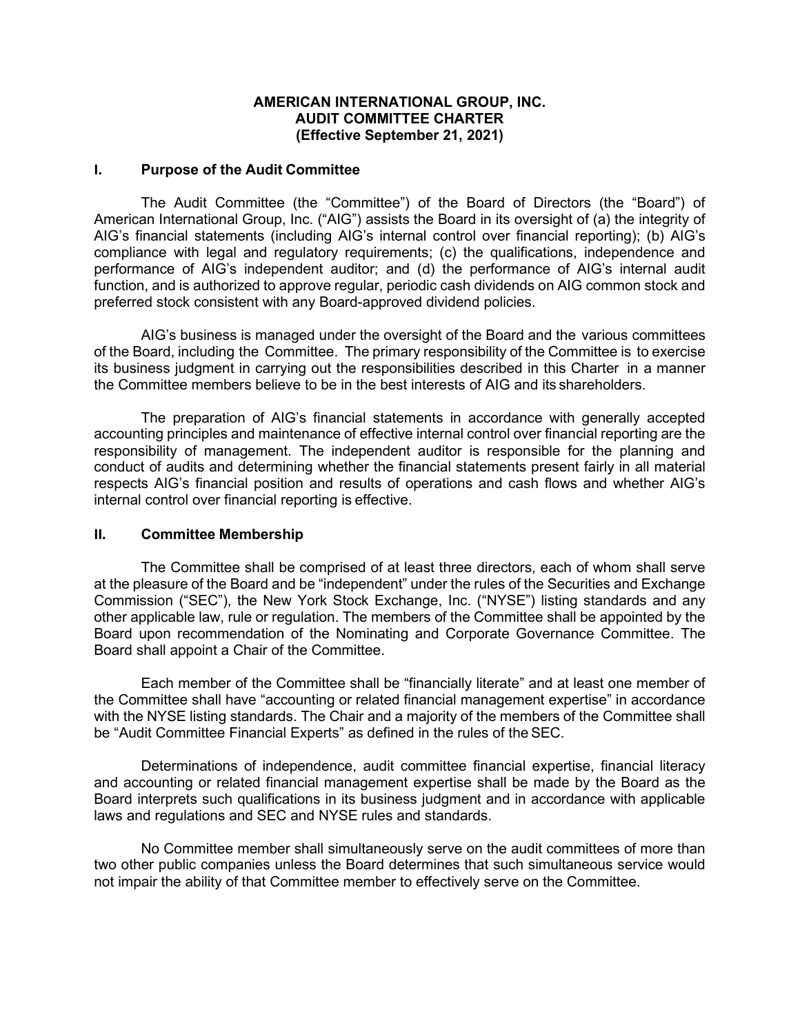## **AMERICAN INTERNATIONAL GROUP, INC. AUDIT COMMITTEE CHARTER (Effective September 21, 2021)**

#### **I. Purpose of the Audit Committee**

The Audit Committee (the "Committee") of the Board of Directors (the "Board") of American International Group, Inc. ("AIG") assists the Board in its oversight of (a) the integrity of AIG's financial statements (including AIG's internal control over financial reporting); (b) AIG's compliance with legal and regulatory requirements; (c) the qualifications, independence and performance of AIG's independent auditor; and (d) the performance of AIG's internal audit function, and is authorized to approve regular, periodic cash dividends on AIG common stock and preferred stock consistent with any Board-approved dividend policies.

AIG's business is managed under the oversight of the Board and the various committees of the Board, including the Committee. The primary responsibility of the Committee is to exercise its business judgment in carrying out the responsibilities described in this Charter in a manner the Committee members believe to be in the best interests of AIG and its shareholders.

The preparation of AIG's financial statements in accordance with generally accepted accounting principles and maintenance of effective internal control over financial reporting are the responsibility of management. The independent auditor is responsible for the planning and conduct of audits and determining whether the financial statements present fairly in all material respects AIG's financial position and results of operations and cash flows and whether AIG's internal control over financial reporting is effective.

### **II. Committee Membership**

The Committee shall be comprised of at least three directors, each of whom shall serve at the pleasure of the Board and be "independent" under the rules of the Securities and Exchange Commission ("SEC"), the New York Stock Exchange, Inc. ("NYSE") listing standards and any other applicable law, rule or regulation. The members of the Committee shall be appointed by the Board upon recommendation of the Nominating and Corporate Governance Committee. The Board shall appoint a Chair of the Committee.

Each member of the Committee shall be "financially literate" and at least one member of the Committee shall have "accounting or related financial management expertise" in accordance with the NYSE listing standards. The Chair and a majority of the members of the Committee shall be "Audit Committee Financial Experts" as defined in the rules of theSEC.

Determinations of independence, audit committee financial expertise, financial literacy and accounting or related financial management expertise shall be made by the Board as the Board interprets such qualifications in its business judgment and in accordance with applicable laws and regulations and SEC and NYSE rules and standards.

No Committee member shall simultaneously serve on the audit committees of more than two other public companies unless the Board determines that such simultaneous service would not impair the ability of that Committee member to effectively serve on the Committee.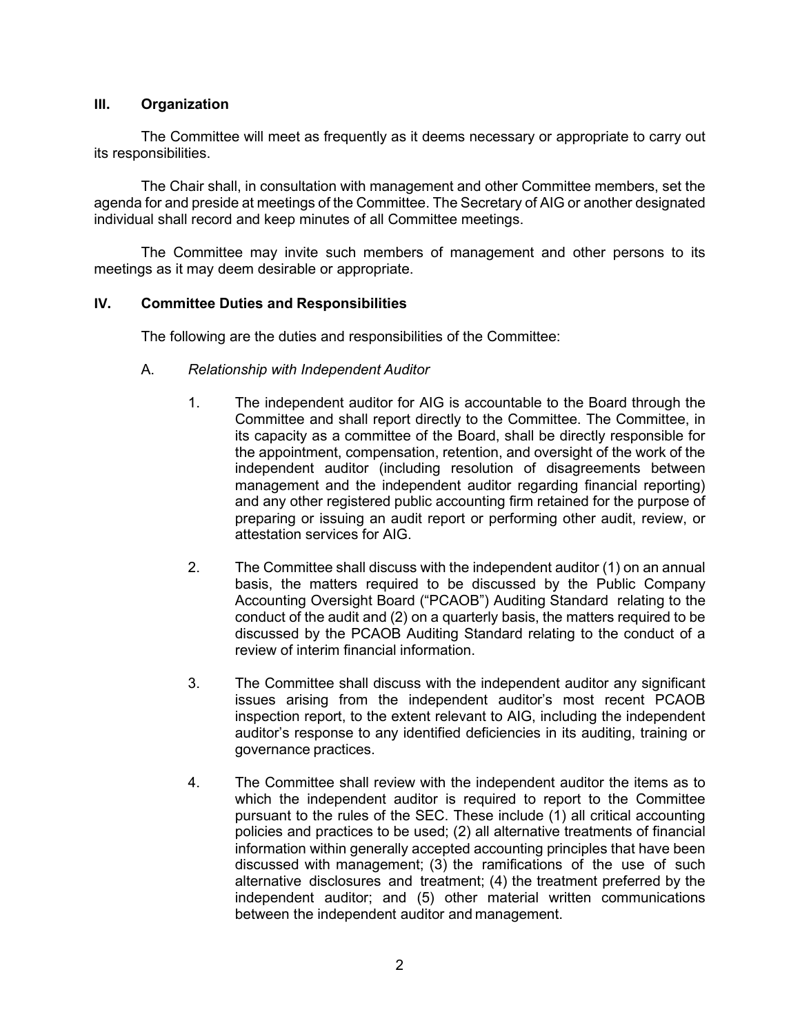## **III. Organization**

The Committee will meet as frequently as it deems necessary or appropriate to carry out its responsibilities.

The Chair shall, in consultation with management and other Committee members, set the agenda for and preside at meetings of the Committee. The Secretary of AIG or another designated individual shall record and keep minutes of all Committee meetings.

The Committee may invite such members of management and other persons to its meetings as it may deem desirable or appropriate.

### **IV. Committee Duties and Responsibilities**

The following are the duties and responsibilities of the Committee:

- A. *Relationship with Independent Auditor*
	- 1. The independent auditor for AIG is accountable to the Board through the Committee and shall report directly to the Committee. The Committee, in its capacity as a committee of the Board, shall be directly responsible for the appointment, compensation, retention, and oversight of the work of the independent auditor (including resolution of disagreements between management and the independent auditor regarding financial reporting) and any other registered public accounting firm retained for the purpose of preparing or issuing an audit report or performing other audit, review, or attestation services for AIG.
	- 2. The Committee shall discuss with the independent auditor (1) on an annual basis, the matters required to be discussed by the Public Company Accounting Oversight Board ("PCAOB") Auditing Standard relating to the conduct of the audit and (2) on a quarterly basis, the matters required to be discussed by the PCAOB Auditing Standard relating to the conduct of a review of interim financial information.
	- 3. The Committee shall discuss with the independent auditor any significant issues arising from the independent auditor's most recent PCAOB inspection report, to the extent relevant to AIG, including the independent auditor's response to any identified deficiencies in its auditing, training or governance practices.
	- 4. The Committee shall review with the independent auditor the items as to which the independent auditor is required to report to the Committee pursuant to the rules of the SEC. These include (1) all critical accounting policies and practices to be used; (2) all alternative treatments of financial information within generally accepted accounting principles that have been discussed with management; (3) the ramifications of the use of such alternative disclosures and treatment; (4) the treatment preferred by the independent auditor; and (5) other material written communications between the independent auditor and management.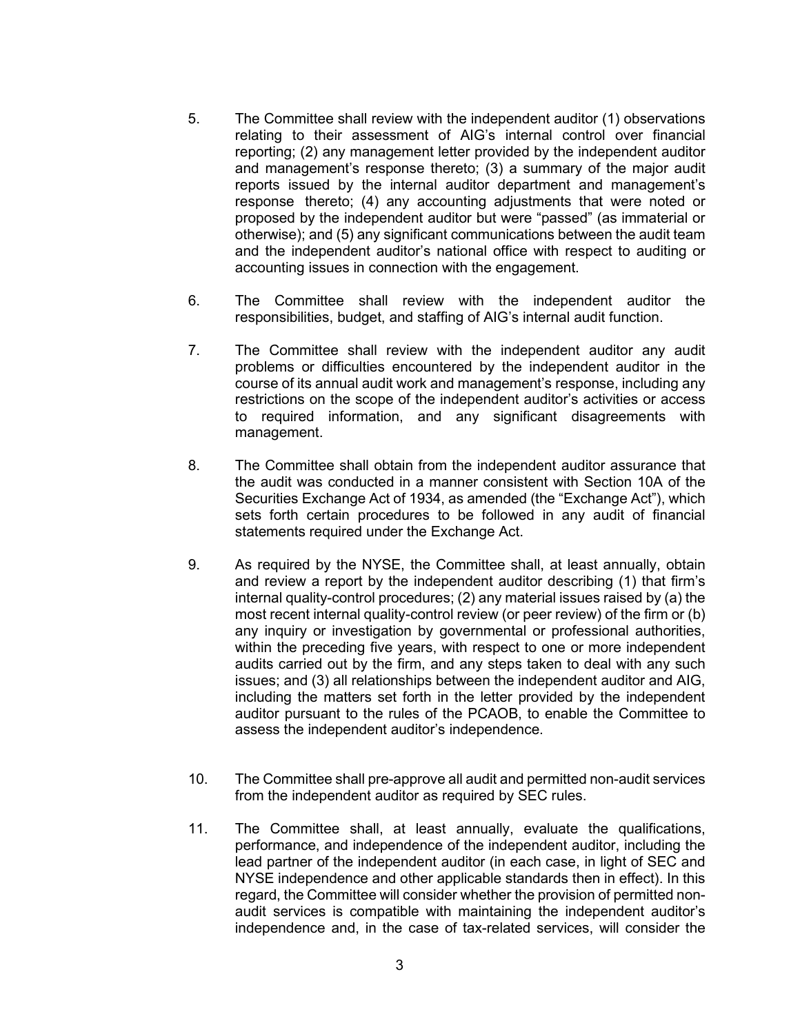- 5. The Committee shall review with the independent auditor (1) observations relating to their assessment of AIG's internal control over financial reporting; (2) any management letter provided by the independent auditor and management's response thereto; (3) a summary of the major audit reports issued by the internal auditor department and management's response thereto; (4) any accounting adjustments that were noted or proposed by the independent auditor but were "passed" (as immaterial or otherwise); and (5) any significant communications between the audit team and the independent auditor's national office with respect to auditing or accounting issues in connection with the engagement.
- 6. The Committee shall review with the independent auditor the responsibilities, budget, and staffing of AIG's internal audit function.
- 7. The Committee shall review with the independent auditor any audit problems or difficulties encountered by the independent auditor in the course of its annual audit work and management's response, including any restrictions on the scope of the independent auditor's activities or access to required information, and any significant disagreements with management.
- 8. The Committee shall obtain from the independent auditor assurance that the audit was conducted in a manner consistent with Section 10A of the Securities Exchange Act of 1934, as amended (the "Exchange Act"), which sets forth certain procedures to be followed in any audit of financial statements required under the Exchange Act.
- 9. As required by the NYSE, the Committee shall, at least annually, obtain and review a report by the independent auditor describing (1) that firm's internal quality-control procedures; (2) any material issues raised by (a) the most recent internal quality-control review (or peer review) of the firm or (b) any inquiry or investigation by governmental or professional authorities, within the preceding five years, with respect to one or more independent audits carried out by the firm, and any steps taken to deal with any such issues; and (3) all relationships between the independent auditor and AIG, including the matters set forth in the letter provided by the independent auditor pursuant to the rules of the PCAOB, to enable the Committee to assess the independent auditor's independence.
- 10. The Committee shall pre-approve all audit and permitted non-audit services from the independent auditor as required by SEC rules.
- 11. The Committee shall, at least annually, evaluate the qualifications, performance, and independence of the independent auditor, including the lead partner of the independent auditor (in each case, in light of SEC and NYSE independence and other applicable standards then in effect). In this regard, the Committee will consider whether the provision of permitted nonaudit services is compatible with maintaining the independent auditor's independence and, in the case of tax-related services, will consider the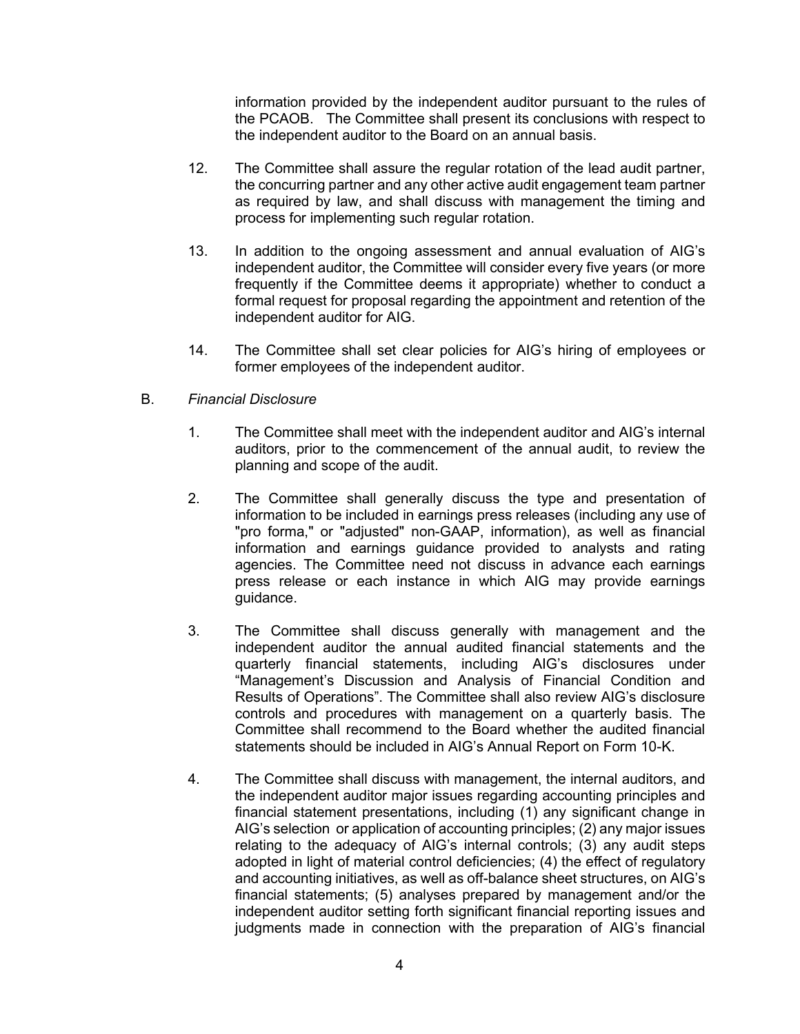information provided by the independent auditor pursuant to the rules of the PCAOB. The Committee shall present its conclusions with respect to the independent auditor to the Board on an annual basis.

- 12. The Committee shall assure the regular rotation of the lead audit partner, the concurring partner and any other active audit engagement team partner as required by law, and shall discuss with management the timing and process for implementing such regular rotation.
- 13. In addition to the ongoing assessment and annual evaluation of AIG's independent auditor, the Committee will consider every five years (or more frequently if the Committee deems it appropriate) whether to conduct a formal request for proposal regarding the appointment and retention of the independent auditor for AIG.
- 14. The Committee shall set clear policies for AIG's hiring of employees or former employees of the independent auditor.

# B. *Financial Disclosure*

- 1. The Committee shall meet with the independent auditor and AIG's internal auditors, prior to the commencement of the annual audit, to review the planning and scope of the audit.
- 2. The Committee shall generally discuss the type and presentation of information to be included in earnings press releases (including any use of "pro forma," or "adjusted" non-GAAP, information), as well as financial information and earnings guidance provided to analysts and rating agencies. The Committee need not discuss in advance each earnings press release or each instance in which AIG may provide earnings guidance.
- 3. The Committee shall discuss generally with management and the independent auditor the annual audited financial statements and the quarterly financial statements, including AIG's disclosures under "Management's Discussion and Analysis of Financial Condition and Results of Operations". The Committee shall also review AIG's disclosure controls and procedures with management on a quarterly basis. The Committee shall recommend to the Board whether the audited financial statements should be included in AIG's Annual Report on Form 10-K.
- 4. The Committee shall discuss with management, the internal auditors, and the independent auditor major issues regarding accounting principles and financial statement presentations, including (1) any significant change in AIG's selection or application of accounting principles; (2) any major issues relating to the adequacy of AIG's internal controls; (3) any audit steps adopted in light of material control deficiencies; (4) the effect of regulatory and accounting initiatives, as well as off-balance sheet structures, on AIG's financial statements; (5) analyses prepared by management and/or the independent auditor setting forth significant financial reporting issues and judgments made in connection with the preparation of AIG's financial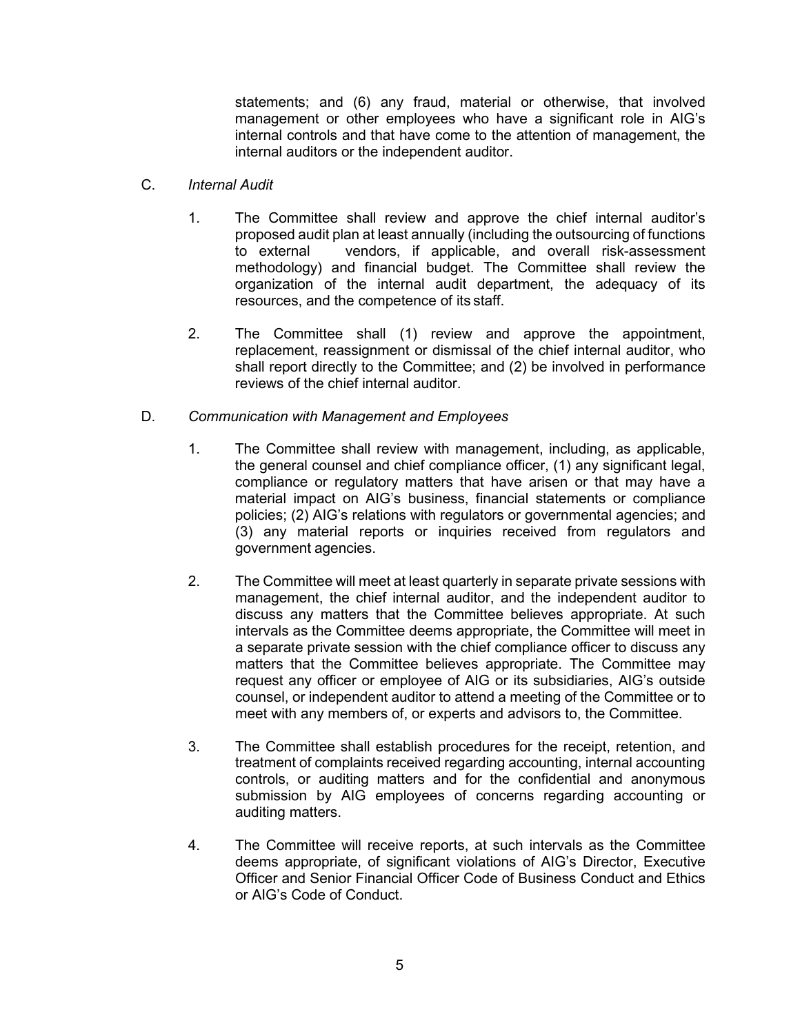statements; and (6) any fraud, material or otherwise, that involved management or other employees who have a significant role in AIG's internal controls and that have come to the attention of management, the internal auditors or the independent auditor.

- C. *Internal Audit*
	- 1. The Committee shall review and approve the chief internal auditor's proposed audit plan at least annually (including the outsourcing of functions to external vendors, if applicable, and overall risk-assessment methodology) and financial budget. The Committee shall review the organization of the internal audit department, the adequacy of its resources, and the competence of its staff.
	- 2. The Committee shall (1) review and approve the appointment, replacement, reassignment or dismissal of the chief internal auditor, who shall report directly to the Committee; and (2) be involved in performance reviews of the chief internal auditor.
- D. *Communication with Management and Employees*
	- 1. The Committee shall review with management, including, as applicable, the general counsel and chief compliance officer, (1) any significant legal, compliance or regulatory matters that have arisen or that may have a material impact on AIG's business, financial statements or compliance policies; (2) AIG's relations with regulators or governmental agencies; and (3) any material reports or inquiries received from regulators and government agencies.
	- 2. The Committee will meet at least quarterly in separate private sessions with management, the chief internal auditor, and the independent auditor to discuss any matters that the Committee believes appropriate. At such intervals as the Committee deems appropriate, the Committee will meet in a separate private session with the chief compliance officer to discuss any matters that the Committee believes appropriate. The Committee may request any officer or employee of AIG or its subsidiaries, AIG's outside counsel, or independent auditor to attend a meeting of the Committee or to meet with any members of, or experts and advisors to, the Committee.
	- 3. The Committee shall establish procedures for the receipt, retention, and treatment of complaints received regarding accounting, internal accounting controls, or auditing matters and for the confidential and anonymous submission by AIG employees of concerns regarding accounting or auditing matters.
	- 4. The Committee will receive reports, at such intervals as the Committee deems appropriate, of significant violations of AIG's Director, Executive Officer and Senior Financial Officer Code of Business Conduct and Ethics or AIG's Code of Conduct.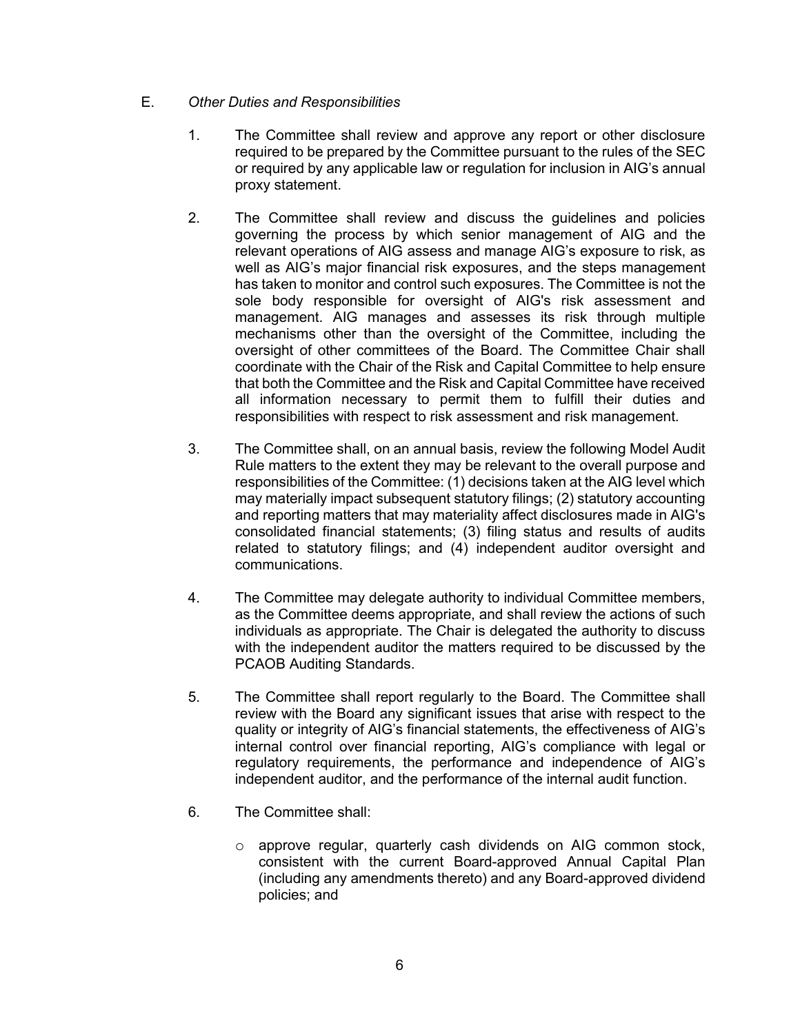- E. *Other Duties and Responsibilities*
	- 1. The Committee shall review and approve any report or other disclosure required to be prepared by the Committee pursuant to the rules of the SEC or required by any applicable law or regulation for inclusion in AIG's annual proxy statement.
	- 2. The Committee shall review and discuss the guidelines and policies governing the process by which senior management of AIG and the relevant operations of AIG assess and manage AIG's exposure to risk, as well as AIG's major financial risk exposures, and the steps management has taken to monitor and control such exposures. The Committee is not the sole body responsible for oversight of AIG's risk assessment and management. AIG manages and assesses its risk through multiple mechanisms other than the oversight of the Committee, including the oversight of other committees of the Board. The Committee Chair shall coordinate with the Chair of the Risk and Capital Committee to help ensure that both the Committee and the Risk and Capital Committee have received all information necessary to permit them to fulfill their duties and responsibilities with respect to risk assessment and risk management.
	- 3. The Committee shall, on an annual basis, review the following Model Audit Rule matters to the extent they may be relevant to the overall purpose and responsibilities of the Committee: (1) decisions taken at the AIG level which may materially impact subsequent statutory filings; (2) statutory accounting and reporting matters that may materiality affect disclosures made in AIG's consolidated financial statements; (3) filing status and results of audits related to statutory filings; and (4) independent auditor oversight and communications.
	- 4. The Committee may delegate authority to individual Committee members, as the Committee deems appropriate, and shall review the actions of such individuals as appropriate. The Chair is delegated the authority to discuss with the independent auditor the matters required to be discussed by the PCAOB Auditing Standards.
	- 5. The Committee shall report regularly to the Board. The Committee shall review with the Board any significant issues that arise with respect to the quality or integrity of AIG's financial statements, the effectiveness of AIG's internal control over financial reporting, AIG's compliance with legal or regulatory requirements, the performance and independence of AIG's independent auditor, and the performance of the internal audit function.
	- 6. The Committee shall:
		- o approve regular, quarterly cash dividends on AIG common stock, consistent with the current Board-approved Annual Capital Plan (including any amendments thereto) and any Board-approved dividend policies; and